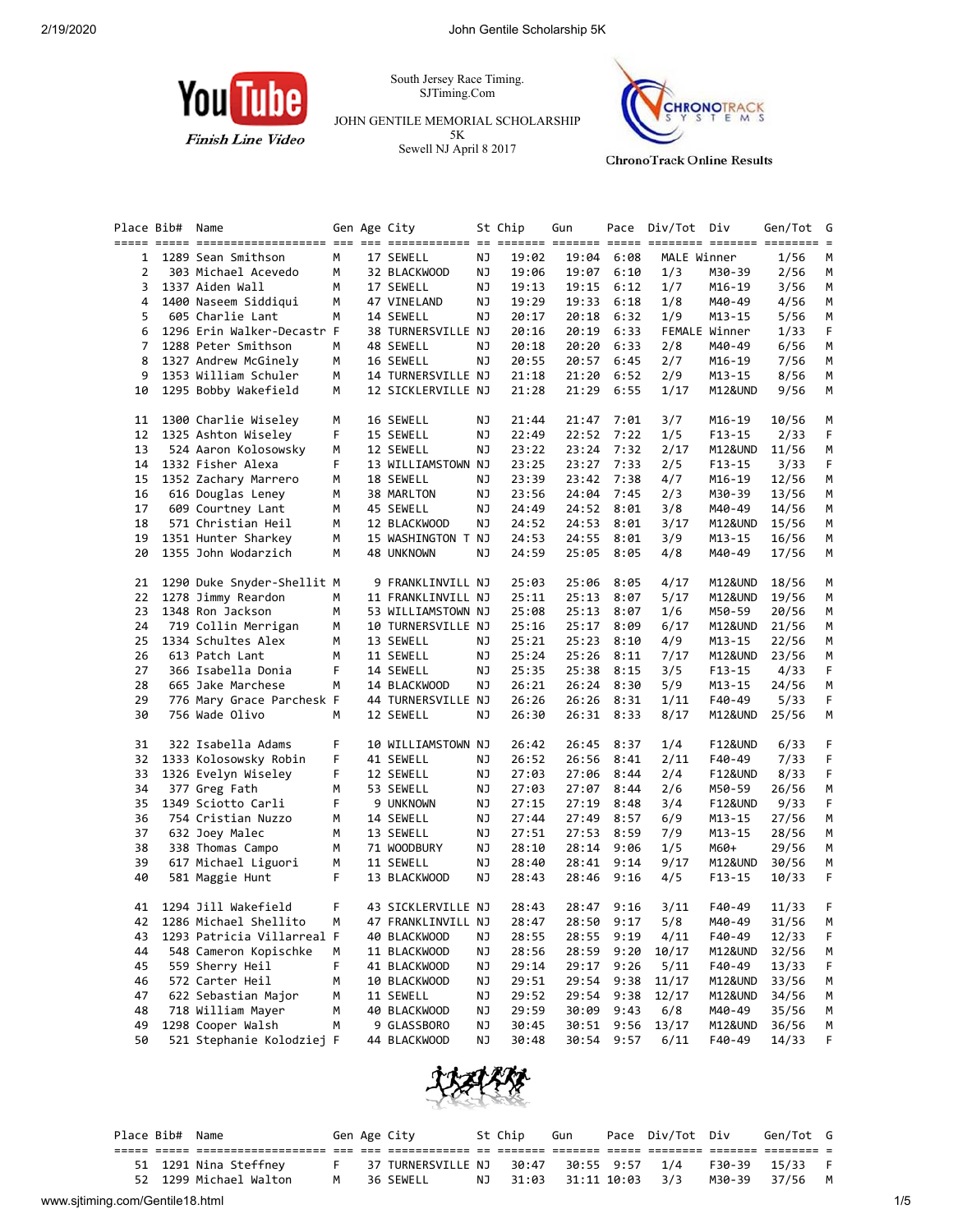

South Jersey Race Timing. SJTiming.Com

JOHN GENTILE MEMORIAL SCHOLARSHIP 5K Sewell NJ April 8 2017



**ChronoTrack Online Results** 

|    | Place Bib# | Name                                      |    | Gen Age City                     |    | St Chip | Gun   |            | Pace Div/Tot Div |                    | Gen/Tot        | G      |
|----|------------|-------------------------------------------|----|----------------------------------|----|---------|-------|------------|------------------|--------------------|----------------|--------|
|    |            |                                           |    |                                  |    |         |       |            |                  |                    |                |        |
| 1  |            | 1289 Sean Smithson                        | M  | 17 SEWELL                        | ΝJ | 19:02   | 19:04 | 6:08       | MALE Winner      |                    | 1/56           | M      |
| 2  |            | 303 Michael Acevedo                       | М  | 32 BLACKWOOD                     | ΝJ | 19:06   |       | 19:07 6:10 | 1/3              | M30-39             | 2/56           | M      |
| 3  |            | 1337 Aiden Wall                           | M  | 17 SEWELL                        | ΝJ | 19:13   | 19:15 | 6:12       | 1/7              | M16-19             | 3/56           | M      |
| 4  |            | 1400 Naseem Siddiqui                      | М  | 47 VINELAND                      | ΝJ | 19:29   | 19:33 | 6:18       | 1/8              | M40-49             | 4/56           | M      |
| 5  |            | 605 Charlie Lant                          | М  | 14 SEWELL                        | ΝJ | 20:17   | 20:18 | 6:32       | 1/9              | $M13 - 15$         | 5/56           | М      |
| 6  |            | 1296 Erin Walker-Decastr F                |    | 38 TURNERSVILLE NJ               |    | 20:16   | 20:19 | 6:33       |                  | FEMALE Winner      | 1/33           | F      |
| 7  |            | 1288 Peter Smithson                       | М  | 48 SEWELL                        | ΝJ | 20:18   | 20:20 | 6:33       | 2/8              | M40-49             | 6/56           | М      |
| 8  |            | 1327 Andrew McGinely                      | М  | 16 SEWELL                        | ΝJ | 20:55   | 20:57 | 6:45       | 2/7              | M16-19             | 7/56           | M      |
| 9  |            | 1353 William Schuler                      | М  | 14 TURNERSVILLE NJ               |    | 21:18   | 21:20 | 6:52       | 2/9              | M13-15             | 8/56           | М      |
| 10 |            | 1295 Bobby Wakefield                      | М  | 12 SICKLERVILLE NJ               |    | 21:28   | 21:29 | 6:55       | 1/17             | M12&UND            | 9/56           | М      |
| 11 |            | 1300 Charlie Wiseley                      | м  | 16 SEWELL                        | ΝJ | 21:44   | 21:47 | 7:01       | 3/7              | M16-19             | 10/56          | М      |
| 12 |            | 1325 Ashton Wiseley                       | F  | 15 SEWELL                        | ΝJ | 22:49   | 22:52 | 7:22       | 1/5              | $F13-15$           | 2/33           | F      |
| 13 |            | 524 Aaron Kolosowsky                      | м  | 12 SEWELL                        | ΝJ | 23:22   | 23:24 | 7:32       | 2/17             | M12&UND            | 11/56          | М      |
| 14 |            | 1332 Fisher Alexa                         | F  | 13 WILLIAMSTOWN NJ               |    | 23:25   | 23:27 | 7:33       | 2/5              | $F13-15$           | 3/33           | F      |
| 15 |            | 1352 Zachary Marrero                      | м  | 18 SEWELL                        | ΝJ | 23:39   | 23:42 | 7:38       | 4/7              | M16-19             | 12/56          | M      |
| 16 |            | 616 Douglas Leney                         | м  | 38 MARLTON                       | ΝJ | 23:56   | 24:04 | 7:45       | 2/3              | M30-39             | 13/56          | M      |
| 17 |            | 609 Courtney Lant                         | М  | 45 SEWELL                        | ΝJ | 24:49   | 24:52 | 8:01       | 3/8              | M40-49             | 14/56          | М      |
| 18 |            | 571 Christian Heil                        | М  | 12 BLACKWOOD                     | ΝJ | 24:52   | 24:53 | 8:01       | 3/17             | M12&UND            | 15/56          | M      |
| 19 |            | 1351 Hunter Sharkey                       | М  |                                  |    | 24:53   | 24:55 | 8:01       | 3/9              |                    |                |        |
| 20 |            | 1355 John Wodarzich                       | M  | 15 WASHINGTON T NJ<br>48 UNKNOWN | ΝJ | 24:59   | 25:05 | 8:05       | 4/8              | M13-15<br>M40-49   | 16/56<br>17/56 | M<br>M |
| 21 |            | 1290 Duke Snyder-Shellit M                |    | 9 FRANKLINVILL NJ                |    | 25:03   | 25:06 | 8:05       | 4/17             | M12&UND            | 18/56          | М      |
| 22 |            | 1278 Jimmy Reardon                        | М  | 11 FRANKLINVILL NJ               |    | 25:11   | 25:13 | 8:07       | 5/17             | M12&UND            | 19/56          | M      |
| 23 |            | 1348 Ron Jackson                          | М  | 53 WILLIAMSTOWN NJ               |    | 25:08   | 25:13 | 8:07       | 1/6              | M50-59             | 20/56          | M      |
|    |            |                                           |    |                                  |    |         |       |            |                  | M12&UND            |                |        |
| 24 |            | 719 Collin Merrigan<br>1334 Schultes Alex | м  | 10 TURNERSVILLE NJ               |    | 25:16   | 25:17 | 8:09       | 6/17             |                    | 21/56          | M      |
| 25 |            |                                           | М  | 13 SEWELL                        | ΝJ | 25:21   | 25:23 | 8:10       | 4/9              | M13-15             | 22/56          | M      |
| 26 |            | 613 Patch Lant                            | М  | 11 SEWELL                        | ΝJ | 25:24   | 25:26 | 8:11       | 7/17             | M12&UND            | 23/56          | М      |
| 27 |            | 366 Isabella Donia                        | F  | 14 SEWELL                        | ΝJ | 25:35   | 25:38 | 8:15       | 3/5              | F13-15             | 4/33           | F      |
| 28 |            | 665 Jake Marchese                         | М  | 14 BLACKWOOD                     | ΝJ | 26:21   | 26:24 | 8:30       | 5/9              | M13-15             | 24/56          | M      |
| 29 |            | 776 Mary Grace Parchesk F                 |    | 44 TURNERSVILLE NJ               |    | 26:26   | 26:26 | 8:31       | 1/11             | F40-49             | 5/33           | F.     |
| 30 |            | 756 Wade Olivo                            | М  | 12 SEWELL                        | ΝJ | 26:30   |       | 26:31 8:33 | 8/17             | M12&UND            | 25/56          | M      |
| 31 |            | 322 Isabella Adams                        | F  | 10 WILLIAMSTOWN NJ               |    | 26:42   | 26:45 | 8:37       | 1/4              | F12&UND            | 6/33           | F      |
| 32 |            | 1333 Kolosowsky Robin                     | F  | 41 SEWELL                        | ΝJ | 26:52   | 26:56 | 8:41       | 2/11             | F40-49             | 7/33           | F      |
| 33 |            | 1326 Evelyn Wiseley                       | F  | 12 SEWELL                        | ΝJ | 27:03   | 27:06 | 8:44       | 2/4              | <b>F12&amp;UND</b> | 8/33           | F      |
| 34 |            | 377 Greg Fath                             | м  | 53 SEWELL                        | ΝJ | 27:03   | 27:07 | 8:44       | 2/6              | M50-59             | 26/56          | M      |
| 35 |            | 1349 Sciotto Carli                        | F  | 9 UNKNOWN                        | ΝJ | 27:15   | 27:19 | 8:48       | 3/4              | F12&UND            | 9/33           | F      |
| 36 |            | 754 Cristian Nuzzo                        | М  | 14 SEWELL                        | ΝJ | 27:44   | 27:49 | 8:57       | 6/9              | M13-15             | 27/56          | M      |
| 37 |            | 632 Joey Malec                            | М  | 13 SEWELL                        | ΝJ | 27:51   | 27:53 | 8:59       | 7/9              | M13-15             | 28/56          | M      |
| 38 |            | 338 Thomas Campo                          | М  | 71 WOODBURY                      | ΝJ | 28:10   | 28:14 | 9:06       | 1/5              | M60+               | 29/56          | M      |
| 39 |            | 617 Michael Liguori                       | М  | 11 SEWELL                        | ΝJ | 28:40   | 28:41 | 9:14       | 9/17             | M12&UND            | 30/56          | M      |
| 40 |            | 581 Maggie Hunt                           | F. | 13 BLACKWOOD                     | ΝJ | 28:43   | 28:46 | 9:16       | 4/5              | $F13 - 15$         | 10/33          | F      |
| 41 |            | 1294 Jill Wakefield                       | F  | 43 SICKLERVILLE NJ               |    | 28:43   |       | 28:47 9:16 | 3/11             | F40-49             | 11/33          | F      |
| 42 |            | 1286 Michael Shellito                     | M  | 47 FRANKLINVILL NJ               |    | 28:47   |       | 28:50 9:17 | 5/8              | M40-49             | 31/56          | M      |
| 43 |            | 1293 Patricia Villarreal F                |    | 40 BLACKWOOD                     | ΝJ | 28:55   |       | 28:55 9:19 | 4/11             | F40-49             | 12/33          | F      |
| 44 |            | 548 Cameron Kopischke                     | М  | 11 BLACKWOOD                     | ΝJ | 28:56   | 28:59 | 9:20       | 10/17            | M12&UND            | 32/56          | M      |
| 45 |            | 559 Sherry Heil                           | F  | 41 BLACKWOOD                     | ΝJ | 29:14   | 29:17 | 9:26       | 5/11             | F40-49             | 13/33          | F      |
| 46 |            | 572 Carter Heil                           | м  | 10 BLACKWOOD                     | ΝJ | 29:51   | 29:54 | 9:38       | 11/17            | M12&UND            | 33/56          | M      |
| 47 |            | 622 Sebastian Major                       | м  | 11 SEWELL                        | ΝJ | 29:52   | 29:54 | 9:38       | 12/17            | M12&UND            | 34/56          | M      |
| 48 |            | 718 William Mayer                         | м  | 40 BLACKWOOD                     | ΝJ | 29:59   | 30:09 | 9:43       | 6/8              | M40-49             | 35/56          |        |
| 49 |            | 1298 Cooper Walsh                         | М  | 9 GLASSBORO                      | ΝJ | 30:45   |       | 30:51 9:56 | 13/17            | M12&UND            |                | M      |
|    |            |                                           |    |                                  |    |         |       |            |                  |                    | 36/56          | M      |
| 50 |            | 521 Stephanie Kolodziej F                 |    | 44 BLACKWOOD                     | ΝJ | 30:48   | 30:54 | 9:57       | 6/11             | F40-49             | 14/33          | F      |



|                                 | Place Bib# Name |                        |   | Gen Age City                              | St Chip | Gun                      | Pace Div/Tot Div |        | Gen/Tot G      |     |
|---------------------------------|-----------------|------------------------|---|-------------------------------------------|---------|--------------------------|------------------|--------|----------------|-----|
|                                 |                 |                        |   |                                           |         |                          |                  |        |                |     |
|                                 |                 | 51 1291 Nina Steffney  |   | F 37 TURNERSVILLE NJ 30:47 30:55 9:57 1/4 |         |                          |                  |        | F30-39 15/33 F |     |
|                                 |                 | 52 1299 Michael Walton | M | 36 SEWELL                                 |         | NJ 31:03 31:11 10:03 3/3 |                  | M30-39 | 37/56 M        |     |
| www.sjtiming.com/Gentile18.html |                 |                        |   |                                           |         |                          |                  |        |                | 1/5 |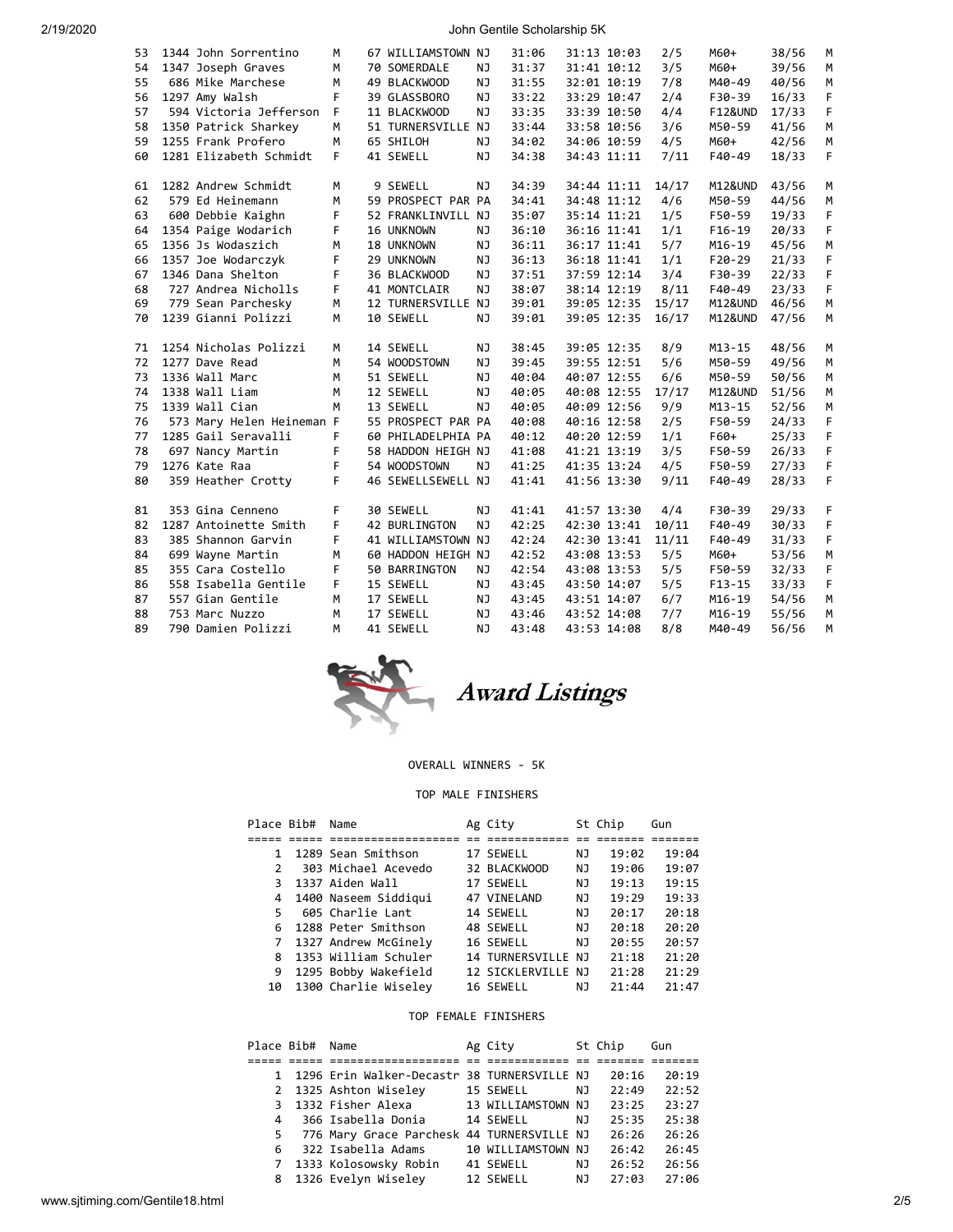2/19/2020 John Gentile Scholarship 5K

| 53 | 1344 John Sorrentino      | M  | 67 WILLIAMSTOWN NJ |           | 31:06 |             | 31:13 10:03 | 2/5   | M60+               | 38/56 | M  |
|----|---------------------------|----|--------------------|-----------|-------|-------------|-------------|-------|--------------------|-------|----|
| 54 | 1347 Joseph Graves        | M  | 70 SOMERDALE       | ΝJ        | 31:37 |             | 31:41 10:12 | 3/5   | M60+               | 39/56 | M  |
| 55 | 686 Mike Marchese         | М  | 49 BLACKWOOD       | <b>NJ</b> | 31:55 | 32:01 10:19 |             | 7/8   | M40-49             | 40/56 | M  |
| 56 | 1297 Amy Walsh            | F  | 39 GLASSBORO       | NJ        | 33:22 |             | 33:29 10:47 | 2/4   | F30-39             | 16/33 | F  |
| 57 | 594 Victoria Jefferson    | F  | 11 BLACKWOOD       | NJ        | 33:35 |             | 33:39 10:50 | 4/4   | <b>F12&amp;UND</b> | 17/33 | F  |
| 58 | 1350 Patrick Sharkey      | M  | 51 TURNERSVILLE NJ |           | 33:44 |             | 33:58 10:56 | 3/6   | M50-59             | 41/56 | M  |
| 59 | 1255 Frank Profero        | M  | 65 SHILOH          | NJ        | 34:02 |             | 34:06 10:59 | 4/5   | M60+               | 42/56 | M  |
| 60 | 1281 Elizabeth Schmidt    | F. | 41 SEWELL          | NJ        | 34:38 |             | 34:43 11:11 | 7/11  | F40-49             | 18/33 | F. |
|    |                           |    |                    |           |       |             |             |       |                    |       |    |
| 61 | 1282 Andrew Schmidt       | M  | 9 SEWELL           | <b>NJ</b> | 34:39 |             | 34:44 11:11 | 14/17 | M12&UND            | 43/56 | M  |
| 62 | 579 Ed Heinemann          | M  | 59 PROSPECT PAR PA |           | 34:41 |             | 34:48 11:12 | 4/6   | M50-59             | 44/56 | M  |
| 63 | 600 Debbie Kaighn         | F. | 52 FRANKLINVILL NJ |           | 35:07 |             | 35:14 11:21 | 1/5   | F50-59             | 19/33 | F. |
| 64 | 1354 Paige Wodarich       | F  | 16 UNKNOWN         | ΝJ        | 36:10 |             | 36:16 11:41 | 1/1   | $F16-19$           | 20/33 | F  |
| 65 | 1356 Js Wodaszich         | M  | 18 UNKNOWN         | <b>NJ</b> | 36:11 |             | 36:17 11:41 | 5/7   | $M16 - 19$         | 45/56 | M  |
| 66 | 1357 Joe Wodarczyk        | F  | 29 UNKNOWN         | NJ        | 36:13 |             | 36:18 11:41 | 1/1   | $F20-29$           | 21/33 | F  |
| 67 | 1346 Dana Shelton         | F  | 36 BLACKWOOD       | NJ        | 37:51 |             | 37:59 12:14 | 3/4   | F30-39             | 22/33 | F  |
| 68 | 727 Andrea Nicholls       | F  | 41 MONTCLAIR       | NJ        | 38:07 |             | 38:14 12:19 | 8/11  | F40-49             | 23/33 | F  |
| 69 | 779 Sean Parchesky        | M  | 12 TURNERSVILLE NJ |           | 39:01 | 39:05 12:35 |             | 15/17 | M12&UND            | 46/56 | M  |
| 70 | 1239 Gianni Polizzi       | M  | 10 SEWELL          | NJ        | 39:01 | 39:05 12:35 |             | 16/17 | M12&UND            | 47/56 | M  |
|    |                           |    |                    |           |       |             |             |       |                    |       |    |
| 71 | 1254 Nicholas Polizzi     | M  | 14 SEWELL          | NJ        | 38:45 |             | 39:05 12:35 | 8/9   | $M13 - 15$         | 48/56 | М  |
| 72 | 1277 Dave Read            | M  | 54 WOODSTOWN       | NJ        | 39:45 |             | 39:55 12:51 | 5/6   | M50-59             | 49/56 | M  |
| 73 | 1336 Wall Marc            | M  | 51 SEWELL          | NJ        | 40:04 |             | 40:07 12:55 | 6/6   | M50-59             | 50/56 | M  |
| 74 | 1338 Wall Liam            | М  | 12 SEWELL          | NJ        | 40:05 |             | 40:08 12:55 | 17/17 | M12&UND            | 51/56 | M  |
| 75 | 1339 Wall Cian            | M  | 13 SEWELL          | <b>NJ</b> | 40:05 |             | 40:09 12:56 | 9/9   | $M13 - 15$         | 52/56 | M  |
| 76 | 573 Mary Helen Heineman F |    | 55 PROSPECT PAR PA |           | 40:08 |             | 40:16 12:58 | 2/5   | F50-59             | 24/33 | F  |
| 77 | 1285 Gail Seravalli       | F  | 60 PHILADELPHIA PA |           | 40:12 |             | 40:20 12:59 | 1/1   | F60+               | 25/33 | F  |
| 78 | 697 Nancy Martin          | F  | 58 HADDON HEIGH NJ |           | 41:08 | 41:21 13:19 |             | 3/5   | F50-59             | 26/33 | F  |
| 79 | 1276 Kate Raa             | F  | 54 WOODSTOWN       | NJ        | 41:25 | 41:35 13:24 |             | 4/5   | F50-59             | 27/33 | F  |
| 80 | 359 Heather Crotty        | F  | 46 SEWELLSEWELL NJ |           | 41:41 |             | 41:56 13:30 | 9/11  | F40-49             | 28/33 | F  |
|    |                           |    |                    |           |       |             |             |       |                    |       |    |
| 81 | 353 Gina Cenneno          | F  | 30 SEWELL          | NJ        | 41:41 |             | 41:57 13:30 | 4/4   | F30-39             | 29/33 | F  |
| 82 | 1287 Antoinette Smith     | F  | 42 BURLINGTON      | NJ        | 42:25 |             | 42:30 13:41 | 10/11 | F40-49             | 30/33 | F  |
| 83 | 385 Shannon Garvin        | F  | 41 WILLIAMSTOWN NJ |           | 42:24 |             | 42:30 13:41 | 11/11 | F40-49             | 31/33 | F  |
| 84 | 699 Wayne Martin          | М  | 60 HADDON HEIGH NJ |           | 42:52 |             | 43:08 13:53 | 5/5   | M60+               | 53/56 | M  |
| 85 | 355 Cara Costello         | F  | 50 BARRINGTON      | ΝJ        | 42:54 | 43:08 13:53 |             | 5/5   | F50-59             | 32/33 | F  |
| 86 | 558 Isabella Gentile      | F  | 15 SEWELL          | NJ        | 43:45 | 43:50 14:07 |             | 5/5   | $F13 - 15$         | 33/33 | F  |
| 87 | 557 Gian Gentile          | M  | 17 SEWELL          | NJ        | 43:45 |             | 43:51 14:07 | 6/7   | $M16-19$           | 54/56 | M  |
| 88 | 753 Marc Nuzzo            | M  | 17 SEWELL          | NJ        | 43:46 | 43:52 14:08 |             | 7/7   | $M16-19$           | 55/56 | M  |
| 89 | 790 Damien Polizzi        | M  | 41 SEWELL          | NJ        | 43:48 | 43:53 14:08 |             | 8/8   | M40-49             | 56/56 | M  |
|    |                           |    |                    |           |       |             |             |       |                    |       |    |



# Award Listings

### OVERALL WINNERS - 5K

# TOP MALE FINISHERS

| Place Bib#    | Name                 | Ag City            |     | St Chip | Gun   |
|---------------|----------------------|--------------------|-----|---------|-------|
|               |                      |                    |     |         |       |
| 1             | 1289 Sean Smithson   | 17 SEWELL          | NJ  | 19:02   | 19:04 |
| $\mathcal{P}$ | 303 Michael Acevedo  | 32 BLACKWOOD       | NJ  | 19:06   | 19:07 |
| 3             | 1337 Aiden Wall      | 17 SEWELL          | NJ. | 19:13   | 19:15 |
| 4             | 1400 Naseem Siddiqui | 47 VINELAND        | NJ. | 19:29   | 19:33 |
| 5.            | 605 Charlie Lant     | 14 SEWELL          | NJ. | 20:17   | 20:18 |
| 6             | 1288 Peter Smithson  | 48 SEWELL          | NJ  | 20:18   | 20:20 |
| $7^{\circ}$   | 1327 Andrew McGinely | 16 SEWELL          | NJ  | 20:55   | 20:57 |
| 8             | 1353 William Schuler | 14 TURNERSVILLE NJ |     | 21:18   | 21:20 |
| 9             | 1295 Bobby Wakefield | 12 SICKLERVILLE NJ |     | 21:28   | 21:29 |
| 10            | 1300 Charlie Wiseley | 16 SEWELL          | ΝJ  | 21:44   | 21:47 |

### TOP FEMALE FINISHERS

|   | Place Bib# | Name                                          | Ag City            |     | St Chip | Gun   |
|---|------------|-----------------------------------------------|--------------------|-----|---------|-------|
|   |            |                                               |                    |     |         |       |
|   |            | 1 1296 Erin Walker-Decastr 38 TURNERSVILLE NJ |                    |     | 20:16   | 20:19 |
|   |            | 2 1325 Ashton Wiseley                         | 15 SEWELL          | NJ  | 22:49   | 22:52 |
|   |            | 3 1332 Fisher Alexa                           | 13 WILLIAMSTOWN NJ |     | 23:25   | 23:27 |
| 4 |            | 366 Isabella Donia                            | 14 SEWELL          | NJ  | 25:35   | 25:38 |
| 5 |            | 776 Mary Grace Parchesk 44 TURNERSVILLE NJ    |                    |     | 26:26   | 26:26 |
| 6 |            | 322 Isabella Adams                            | 10 WILLIAMSTOWN NJ |     | 26:42   | 26:45 |
|   |            | 7 1333 Kolosowsky Robin                       | 41 SEWELL          | NJ. | 26:52   | 26:56 |
|   |            | 8 1326 Evelyn Wiseley                         | 12 SEWELL          | NJ  | 27:03   | 27:06 |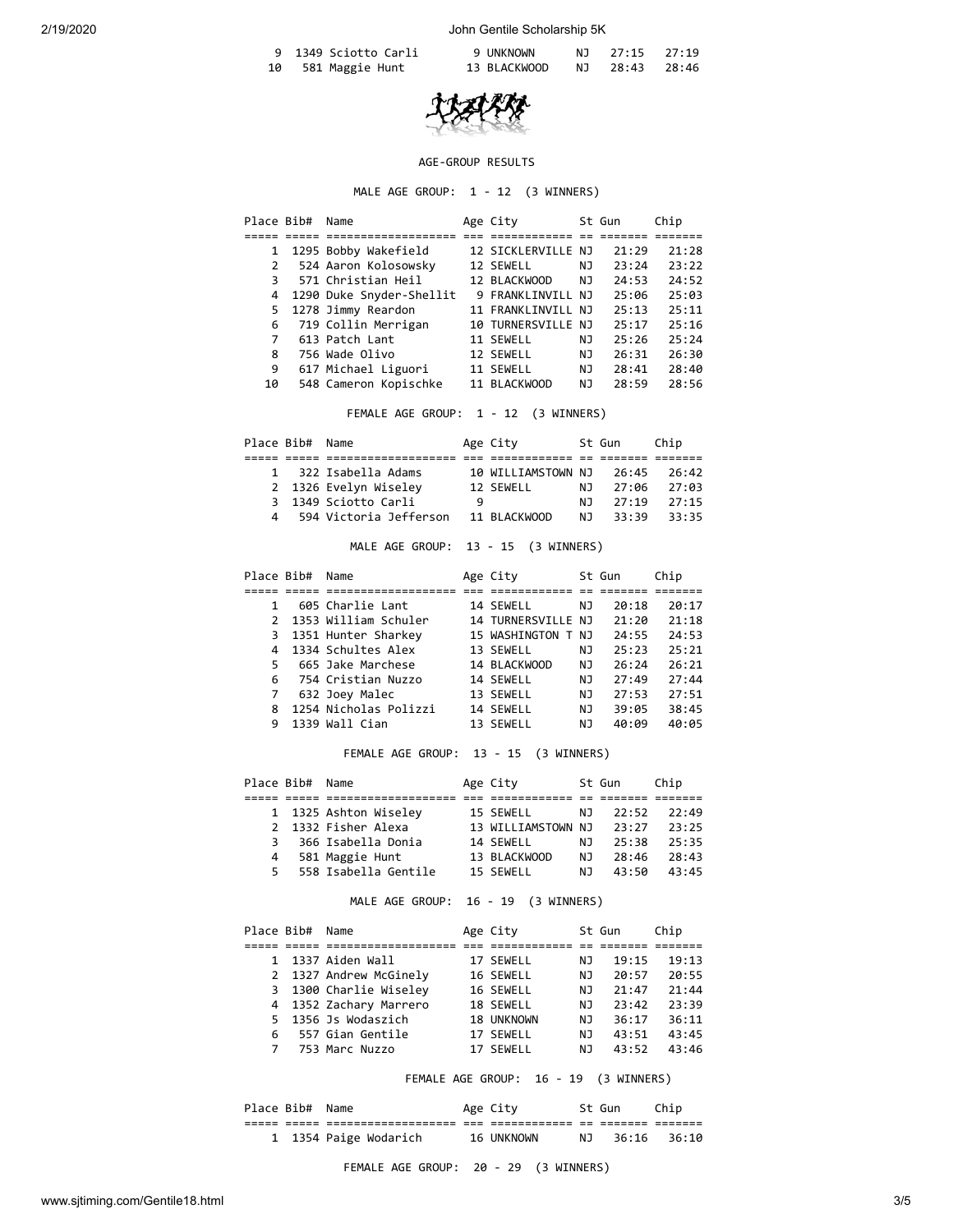| 9 1349 Sciotto Carli | 9 UNKNOWN    | NJ 27:15 27:19 |  |
|----------------------|--------------|----------------|--|
| 10 581 Maggie Hunt   | 13 BLACKWOOD | NJ 28:43 28:46 |  |



# AGE-GROUP RESULTS

MALE AGE GROUP: 1 - 12 (3 WINNERS)

|              | Place Bib# | Name                     | Age City           |    | St Gun | Chip  |
|--------------|------------|--------------------------|--------------------|----|--------|-------|
|              |            |                          |                    |    |        |       |
| $\mathbf{1}$ |            | 1295 Bobby Wakefield     | 12 SICKLERVILLE NJ |    | 21:29  | 21:28 |
| 2            |            | 524 Aaron Kolosowsky     | 12 SEWELL          | NJ | 23:24  | 23:22 |
| 3            |            | 571 Christian Heil       | 12 BLACKWOOD       | NJ | 24:53  | 24:52 |
| 4            |            | 1290 Duke Snyder-Shellit | 9 FRANKLINVILL NJ  |    | 25:06  | 25:03 |
| 5            |            | 1278 Jimmy Reardon       | 11 FRANKLINVILL NJ |    | 25:13  | 75:11 |
| 6            |            | 719 Collin Merrigan      | 10 TURNERSVILLE NJ |    | 25:17  | 25:16 |
| 7            |            | 613 Patch Lant           | 11 SEWELL          | ΝJ | 25:26  | 25:24 |
| 8            |            | 756 Wade Olivo           | 12 SEWELL          | NJ | 26:31  | 26:30 |
| 9            |            | 617 Michael Liguori      | 11 SEWELL          | NJ | 28:41  | 28:40 |
| 10           |            | 548 Cameron Kopischke    | 11 BLACKWOOD       | NJ | 28:59  | 28:56 |
|              |            |                          |                    |    |        |       |

FEMALE AGE GROUP: 1 - 12 (3 WINNERS)

| Place Bib# Name |                          |   | Age City           |     | St Gun | Chip  |  |
|-----------------|--------------------------|---|--------------------|-----|--------|-------|--|
|                 |                          |   |                    |     |        |       |  |
|                 | 1 322 Isabella Adams     |   | 10 WILLIAMSTOWN NJ |     | 26:45  | 26:42 |  |
|                 | 2 1326 Evelyn Wiseley    |   | 12 SEWELL          | N J | 27:06  | 27:03 |  |
|                 | 3 1349 Sciotto Carli     | q |                    | N J | 27:19  | 27:15 |  |
|                 | 4 594 Victoria Jefferson |   | 11 BLACKWOOD       | N T | 33:39  | 33:35 |  |

MALE AGE GROUP: 13 - 15 (3 WINNERS)

| Place Bib# | Name                   | Age City           |      | St Gun | Chip  |
|------------|------------------------|--------------------|------|--------|-------|
|            |                        |                    |      |        |       |
|            | 605 Charlie Lant       | 14 SEWELL          | NJ   | 20:18  | 20:17 |
|            | 2 1353 William Schuler | 14 TURNERSVILLE NJ |      | 21:20  | 21:18 |
|            | 3 1351 Hunter Sharkey  | 15 WASHINGTON      | T NJ | 24:55  | 24:53 |
|            | 4 1334 Schultes Alex   | 13 SEWELL          | NJ   | 25:23  | 25:21 |
| 5.         | 665 Jake Marchese      | 14 BLACKWOOD       | NJ   | 26:24  | 26:21 |
| 6.         | 754 Cristian Nuzzo     | 14 SEWELL          | NJ   | 27:49  | 27:44 |
| 7          | 632 Joey Malec         | 13 SEWELL          | ΝJ   | 27:53  | 27:51 |
| 8          | 1254 Nicholas Polizzi  | 14 SEWELL          | NJ   | 39:05  | 38:45 |
| 9          | 1339 Wall Cian         | 13 SEWELL          | ΝJ   | 40:09  | 40:05 |

FEMALE AGE GROUP: 13 - 15 (3 WINNERS)

|   | Place Bib# Name |                        | Age City           |     | St Gun | Chip  |  |
|---|-----------------|------------------------|--------------------|-----|--------|-------|--|
|   |                 |                        |                    |     |        |       |  |
|   |                 | 1 1325 Ashton Wiseley  | 15 SEWELL          | NJ. | 22:52  | 22:49 |  |
|   |                 | 2 1332 Fisher Alexa    | 13 WILLIAMSTOWN NJ |     | 23:27  | 23:25 |  |
| 3 |                 | 366 Isabella Donia     | 14 SEWELL          | N J | 25:38  | 25:35 |  |
| 4 |                 | 581 Maggie Hunt        | 13 BLACKWOOD       | N J | 28:46  | 28:43 |  |
|   |                 | 5 558 Isabella Gentile | 15 SEWELL          | N J | 43:50  | 43:45 |  |

MALE AGE GROUP: 16 - 19 (3 WINNERS)

|   | Place Bib# | Name                   | Age City   |     | St Gun | Chip  |
|---|------------|------------------------|------------|-----|--------|-------|
|   |            |                        |            |     |        |       |
|   |            | 1 1337 Aiden Wall      | 17 SEWELL  | NJ  | 19:15  | 19:13 |
|   |            | 2 1327 Andrew McGinely | 16 SEWELL  | NJ  | 20:57  | 20:55 |
|   |            | 3 1300 Charlie Wiseley | 16 SEWELL  | NJ  | 21:47  | 21:44 |
|   |            | 4 1352 Zachary Marrero | 18 SEWELL  | NJ  | 23:42  | 23:39 |
|   |            | 5 1356 Js Wodaszich    | 18 UNKNOWN | NJ  | 36:17  | 36:11 |
| 6 |            | 557 Gian Gentile       | 17 SEWELL  | ΝJ  | 43:51  | 43:45 |
| 7 |            | 753 Marc Nuzzo         | 17 SEWELL  | N J | 43:52  | 43:46 |

FEMALE AGE GROUP: 16 - 19 (3 WINNERS)

|  | Place Bib# Name |                       |     | Age City   |     | St Gun | Chip  |
|--|-----------------|-----------------------|-----|------------|-----|--------|-------|
|  |                 |                       | ___ |            |     |        |       |
|  |                 | 1 1354 Paige Wodarich |     | 16 UNKNOWN | N T | 36:16  | 36:10 |

FEMALE AGE GROUP: 20 - 29 (3 WINNERS)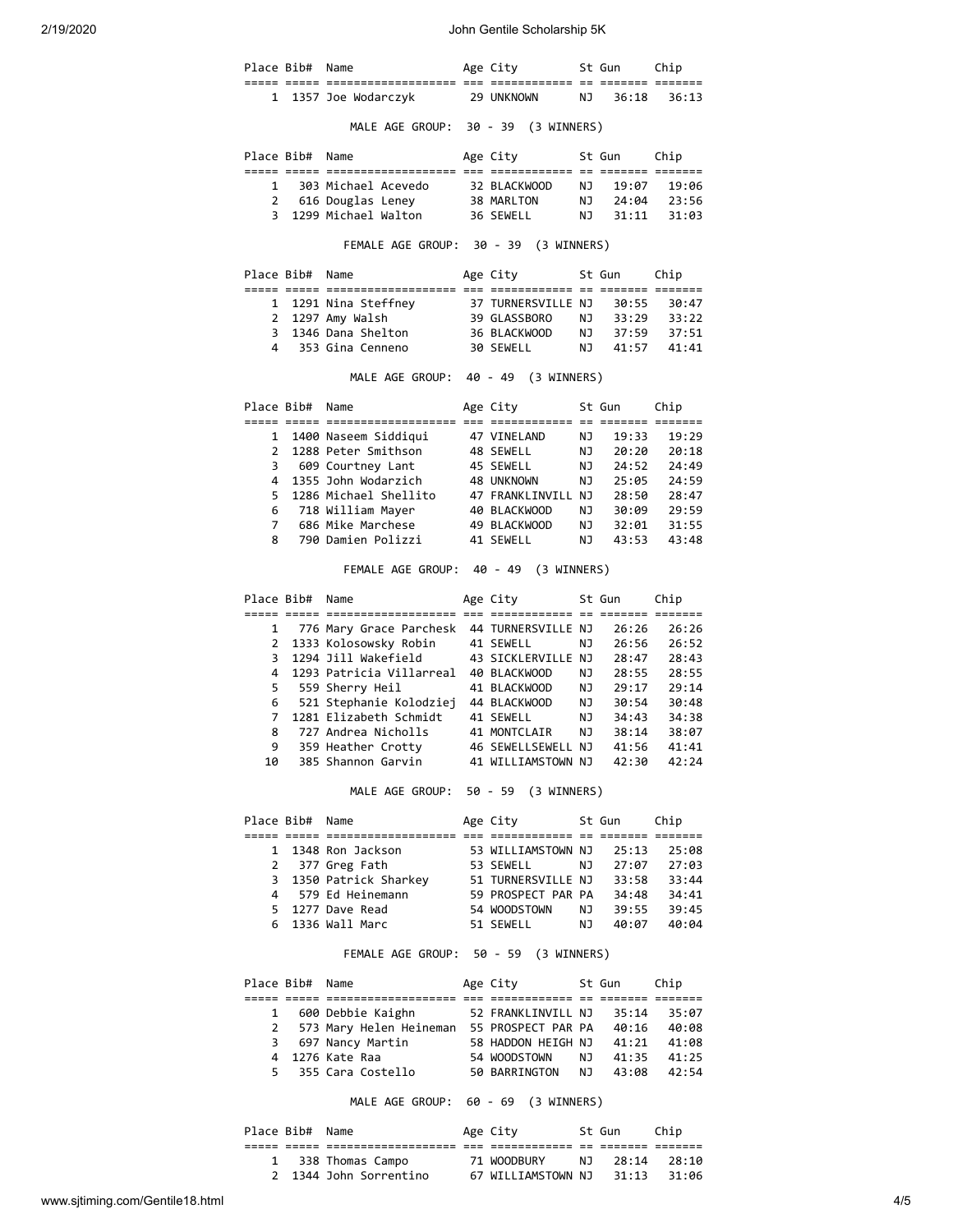2/19/2020 John Gentile Scholarship 5K

|                | Place Bib#      | Name                                                                                                                                                              | Age City                                                                                                             |           | St Gun         | Chip                                                                                                                                         |
|----------------|-----------------|-------------------------------------------------------------------------------------------------------------------------------------------------------------------|----------------------------------------------------------------------------------------------------------------------|-----------|----------------|----------------------------------------------------------------------------------------------------------------------------------------------|
|                |                 | 1 1357 Joe Wodarczyk                                                                                                                                              | 29 UNKNOWN                                                                                                           | NJ        | 36:18          | 36:13                                                                                                                                        |
|                |                 | MALE AGE GROUP: 30 - 39 (3 WINNERS)                                                                                                                               |                                                                                                                      |           |                |                                                                                                                                              |
|                | Place Bib#      | Name                                                                                                                                                              | Age City                                                                                                             |           | St Gun         | Chip                                                                                                                                         |
|                |                 |                                                                                                                                                                   |                                                                                                                      |           |                |                                                                                                                                              |
|                |                 | 1 303 Michael Acevedo                                                                                                                                             | 32 BLACKWOOD                                                                                                         | NJ        | 19:07          | 19:06                                                                                                                                        |
|                |                 | 2 616 Douglas Leney<br>3 1299 Michael Walton                                                                                                                      | 38 MARLTON                                                                                                           | <b>NJ</b> | 24:04          | 23:56                                                                                                                                        |
|                |                 |                                                                                                                                                                   | 36 SEWELL                                                                                                            | NJ        | 31:11          | 31:03                                                                                                                                        |
|                |                 | FEMALE AGE GROUP: 30 - 39 (3 WINNERS)                                                                                                                             |                                                                                                                      |           |                |                                                                                                                                              |
|                | Place Bib# Name |                                                                                                                                                                   | Age City                                                                                                             |           | St Gun Chip    |                                                                                                                                              |
|                |                 |                                                                                                                                                                   |                                                                                                                      |           |                |                                                                                                                                              |
|                |                 | 1 1291 Nina Steffney 37 TURNERSVILLE NJ<br>2 1297 Amy Walsh                                                                                                       | 39 GLASSBORO                                                                                                         | NJ        | 30:55<br>33:29 | 30:47<br>33:22                                                                                                                               |
|                |                 | 3 1346 Dana Shelton                                                                                                                                               | 36 BLACKWOOD                                                                                                         |           | NJ 37:59       | 37:51                                                                                                                                        |
|                |                 | 4 353 Gina Cenneno                                                                                                                                                | 30 SEWELL                                                                                                            | NJ 1      | 41:57          | 41:41                                                                                                                                        |
|                |                 | MALE AGE GROUP: 40 - 49 (3 WINNERS)                                                                                                                               |                                                                                                                      |           |                |                                                                                                                                              |
|                | Place Bib# Name |                                                                                                                                                                   | Age City                                                                                                             |           | St Gun         | Chip                                                                                                                                         |
|                |                 | 1 1400 Naseem Siddigui                                                                                                                                            | 47 VINELAND                                                                                                          | NJ        | 19:33          | 19:29                                                                                                                                        |
| $\overline{2}$ |                 | 1288 Peter Smithson                                                                                                                                               | 48 SEWELL                                                                                                            | <b>NJ</b> | 20:20          | 20:18                                                                                                                                        |
|                |                 | 3 609 Courtney Lant                                                                                                                                               | 45 SEWELL                                                                                                            | NJ        | 24:52          | 24:49                                                                                                                                        |
| 4              |                 | 1355 John Wodarzich                                                                                                                                               | 48 UNKNOWN                                                                                                           | NJ        | 25:05          | 24:59                                                                                                                                        |
| 5.             |                 | 1286 Michael Shellito                                                                                                                                             |                                                                                                                      |           |                | 28:47                                                                                                                                        |
| 6              |                 | 718 William Mayer                                                                                                                                                 |                                                                                                                      |           |                | 29:59                                                                                                                                        |
| 7              |                 | 686 Mike Marchese                                                                                                                                                 | 47 FRANKLINVILL NJ   28:50<br>40 BLACKWOOD    NJ   30:09<br>49 BLACKWOOD    NJ   32:01<br>41 SEWELL       NJ   43:53 |           |                | 31:55                                                                                                                                        |
| 8              |                 | 790 Damien Polizzi                                                                                                                                                |                                                                                                                      |           |                | 43:48                                                                                                                                        |
|                |                 |                                                                                                                                                                   |                                                                                                                      |           |                |                                                                                                                                              |
|                |                 | FEMALE AGE GROUP: 40 - 49 (3 WINNERS)                                                                                                                             |                                                                                                                      |           |                |                                                                                                                                              |
|                | Place Bib#      | Name                                                                                                                                                              | Age City                                                                                                             |           | St Gun         | Chip                                                                                                                                         |
|                |                 |                                                                                                                                                                   |                                                                                                                      |           |                |                                                                                                                                              |
| $\mathbf{2}$   |                 | 1 776 Mary Grace Parchesk 44 TURNERSVILLE NJ                                                                                                                      | 41 SEWELL                                                                                                            | NJ        | 26:26<br>26:56 |                                                                                                                                              |
| 3              |                 | 1333 Kolosowsky Robin<br>1294 Jill Wakefield                                                                                                                      |                                                                                                                      |           | 28:47          |                                                                                                                                              |
| 4              |                 | 1293 Patricia Villarreal 40 BLACKWOOD                                                                                                                             | 43 SICKLERVILLE NJ                                                                                                   | NJ 1      | 28:55          |                                                                                                                                              |
| 5              |                 | 559 Sherry Heil                                                                                                                                                   | 41 BLACKWOOD                                                                                                         |           | NJ 29:17       |                                                                                                                                              |
| 6              |                 |                                                                                                                                                                   |                                                                                                                      |           | 30:54          |                                                                                                                                              |
| $\overline{7}$ |                 | 521 Stephanie Kolodziej 44 BLACKWOOD<br>1281 Elizabeth Schmidt 41 SEWELL                                                                                          |                                                                                                                      | NJ<br>NJ  | 34:43          |                                                                                                                                              |
| 8              |                 | 727 Andrea Nicholls                                                                                                                                               | 41 MONTCLAIR                                                                                                         | NJ        | 38:14          |                                                                                                                                              |
| 9              |                 | 359 Heather Crotty                                                                                                                                                | 46 SEWELLSEWELL NJ                                                                                                   |           | 41:56          |                                                                                                                                              |
| 10             |                 | 385 Shannon Garvin                                                                                                                                                | 41 WILLIAMSTOWN NJ                                                                                                   |           | 42:30          |                                                                                                                                              |
|                |                 | MALE AGE GROUP: 50 - 59 (3 WINNERS)                                                                                                                               |                                                                                                                      |           |                |                                                                                                                                              |
|                | Place Bib# Name |                                                                                                                                                                   | Age City 5t Gun Chip                                                                                                 |           |                |                                                                                                                                              |
| $\mathbf{1}$   |                 |                                                                                                                                                                   |                                                                                                                      |           | 25:13          |                                                                                                                                              |
|                |                 | $1348$ Ron Jackson<br>$\overline{a}$ + $\overline{b}$<br>2 377 Greg Fath                                                                                          |                                                                                                                      |           | NJ 27:07       |                                                                                                                                              |
|                |                 |                                                                                                                                                                   |                                                                                                                      |           |                |                                                                                                                                              |
|                |                 |                                                                                                                                                                   |                                                                                                                      |           |                |                                                                                                                                              |
|                |                 | 3 1350 Patrick Sharkey 51 TURNERSVILLE NJ 33:58<br>4 579 Ed Heinemann 59 PROSPECT PAR PA 34:48<br>5 1277 Dave Read 54 WOODSTOWN NJ 39:55                          |                                                                                                                      |           | NJ 39:55       |                                                                                                                                              |
|                |                 | 6 1336 Wall Marc                                                                                                                                                  | 51 SEWELL                                                                                                            |           | NJ 40:07       |                                                                                                                                              |
|                |                 | FEMALE AGE GROUP: 50 - 59 (3 WINNERS)                                                                                                                             |                                                                                                                      |           |                |                                                                                                                                              |
|                | Place Bib# Name |                                                                                                                                                                   | Age City                                                                                                             |           | St Gun         | Chip                                                                                                                                         |
|                |                 |                                                                                                                                                                   |                                                                                                                      |           |                | 26:26<br>26:52<br>28:43<br>28:55<br>29:14<br>30:48<br>34:38<br>38:07<br>41:41<br>42:24<br>25:08<br>27:03<br>33:44<br>34:41<br>39:45<br>40:04 |
| 1              |                 | 600 Debbie Kaighn                                                                                                                                                 | 52 FRANKLINVILL NJ                                                                                                   |           | 35:14          | 35:07                                                                                                                                        |
| $\mathbf{2}$   |                 | 573 Mary Helen Heineman 55 PROSPECT PAR PA 40:16                                                                                                                  |                                                                                                                      |           |                | 40:08                                                                                                                                        |
| 3              |                 |                                                                                                                                                                   |                                                                                                                      |           |                |                                                                                                                                              |
| 5.             |                 | 697 Nancy Martin 58 HADDON HEIGH NJ 41:21 41:08<br>1276 Kate Raa 54 WOODSTOWN NJ 41:35 41:25<br>355 Cara Costello 50 BARRINGTON NJ 43:08 42:54<br>4 1276 Kate Raa |                                                                                                                      |           |                |                                                                                                                                              |